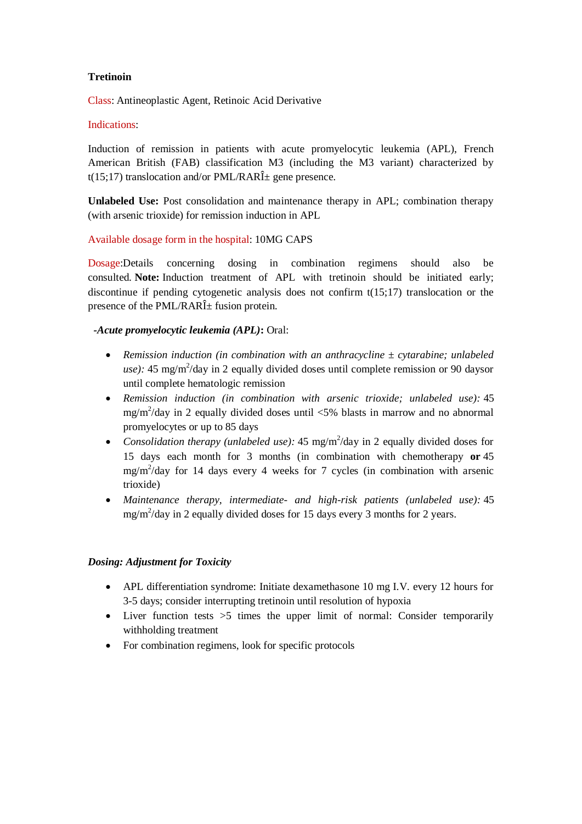## **Tretinoin**

Class: Antineoplastic Agent, Retinoic Acid Derivative

#### Indications:

Induction of remission in patients with acute promyelocytic leukemia (APL), French American British (FAB) classification M3 (including the M3 variant) characterized by t(15;17) translocation and/or PML/RAR $\hat{I}$  gene presence.

**Unlabeled Use:** Post consolidation and maintenance therapy in APL; combination therapy (with arsenic trioxide) for remission induction in APL

## Available dosage form in the hospital: 10MG CAPS

Dosage:Details concerning dosing in combination regimens should also be consulted. **Note:** Induction treatment of APL with tretinoin should be initiated early; discontinue if pending cytogenetic analysis does not confirm t(15;17) translocation or the presence of the PML/RAR $\hat{I}$  fusion protein.

## *-Acute promyelocytic leukemia (APL)***:** Oral:

- *Remission induction (in combination with an anthracycline ± cytarabine; unlabeled*  use): 45 mg/m<sup>2</sup>/day in 2 equally divided doses until complete remission or 90 daysor until complete hematologic remission
- *Remission induction (in combination with arsenic trioxide; unlabeled use):* 45 mg/m<sup>2</sup>/day in 2 equally divided doses until  $\langle 5\%$  blasts in marrow and no abnormal promyelocytes or up to 85 days
- Consolidation therapy (unlabeled use): 45 mg/m<sup>2</sup>/day in 2 equally divided doses for 15 days each month for 3 months (in combination with chemotherapy **or** 45 mg/m<sup>2</sup> /day for 14 days every 4 weeks for 7 cycles (in combination with arsenic trioxide)
- *Maintenance therapy, intermediate- and high-risk patients (unlabeled use):* 45  $mg/m^2$ /day in 2 equally divided doses for 15 days every 3 months for 2 years.

# *Dosing: Adjustment for Toxicity*

- APL differentiation syndrome: Initiate dexamethasone 10 mg I.V. every 12 hours for 3-5 days; consider interrupting tretinoin until resolution of hypoxia
- $\bullet$  Liver function tests  $>5$  times the upper limit of normal: Consider temporarily withholding treatment
- For combination regimens, look for specific protocols